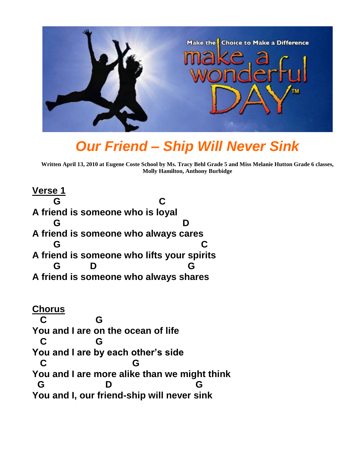

## *Our Friend – Ship Will Never Sink*

**Written April 13, 2010 at Eugene Coste School by Ms. Tracy Behl Grade 5 and Miss Melanie Hutton Grade 6 classes, Molly Hamilton, Anthony Burbidge**

**Verse 1 G C A friend is someone who is loyal G D A friend is someone who always cares G C A friend is someone who lifts your spirits G D G A friend is someone who always shares**

**Chorus C G You and I are on the ocean of life C G You and I are by each other's side C G You and I are more alike than we might think G D G You and I, our friend-ship will never sink**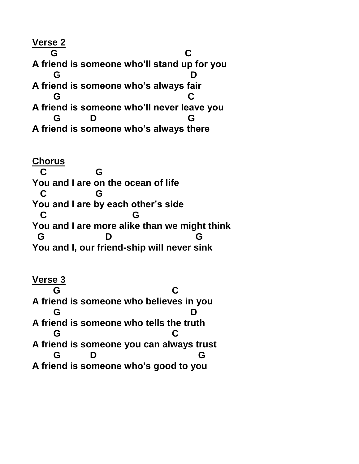**Verse 2 G C A friend is someone who'll stand up for you G D A friend is someone who's always fair G C A friend is someone who'll never leave you G D G A friend is someone who's always there**

**Chorus C G You and I are on the ocean of life C G You and I are by each other's side C G You and I are more alike than we might think G D G You and I, our friend-ship will never sink**

**Verse 3 G C A friend is someone who believes in you G D A friend is someone who tells the truth G C A friend is someone you can always trust G D G A friend is someone who's good to you**